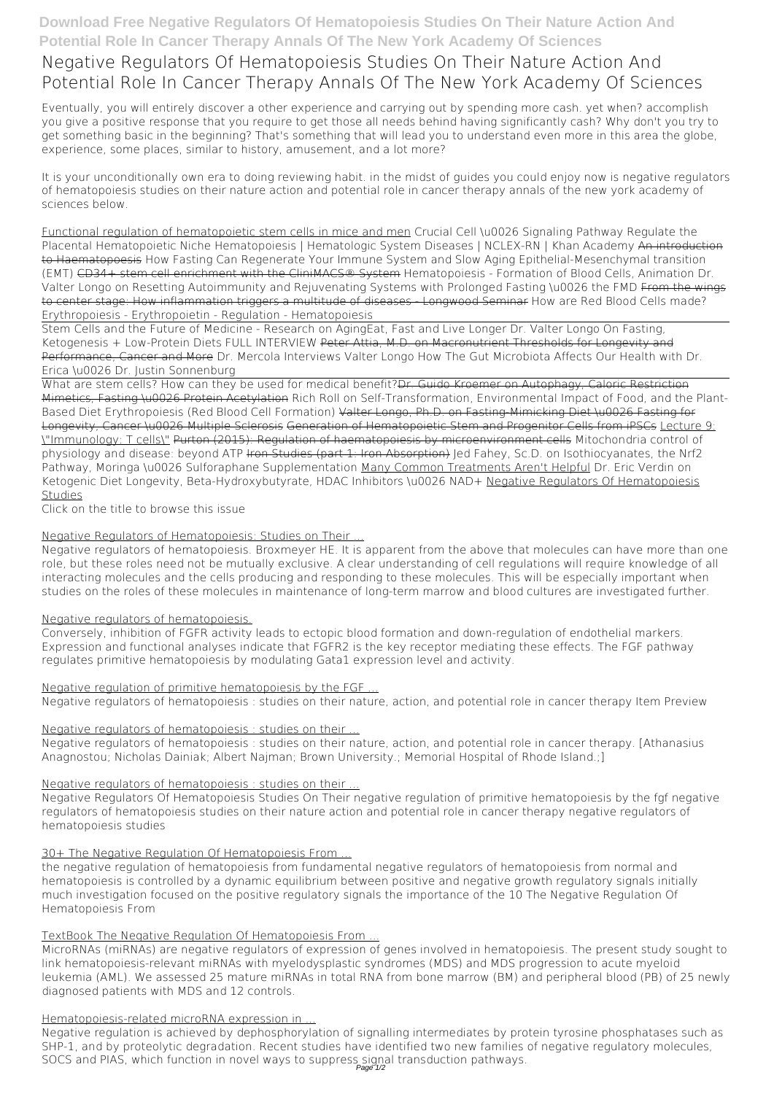# **Download Free Negative Regulators Of Hematopoiesis Studies On Their Nature Action And Potential Role In Cancer Therapy Annals Of The New York Academy Of Sciences**

# **Negative Regulators Of Hematopoiesis Studies On Their Nature Action And Potential Role In Cancer Therapy Annals Of The New York Academy Of Sciences**

Eventually, you will entirely discover a other experience and carrying out by spending more cash. yet when? accomplish you give a positive response that you require to get those all needs behind having significantly cash? Why don't you try to get something basic in the beginning? That's something that will lead you to understand even more in this area the globe, experience, some places, similar to history, amusement, and a lot more?

It is your unconditionally own era to doing reviewing habit. in the midst of guides you could enjoy now is **negative regulators of hematopoiesis studies on their nature action and potential role in cancer therapy annals of the new york academy of sciences** below.

Functional regulation of hematopoietic stem cells in mice and men Crucial Cell \u0026 Signaling Pathway Regulate the Placental Hematopoietic Niche Hematopoiesis | Hematologic System Diseases | NCLEX-RN | Khan Academy An introduction to Haematopoesis *How Fasting Can Regenerate Your Immune System and Slow Aging Epithelial-Mesenchymal transition (EMT)* CD34+ stem cell enrichment with the CliniMACS® System *Hematopoiesis - Formation of Blood Cells, Animation Dr. Valter Longo on Resetting Autoimmunity and Rejuvenating Systems with Prolonged Fasting \u0026 the FMD From the wings* to center stage: How inflammation triggers a multitude of diseases - Longwood Seminar *How are Red Blood Cells made? Erythropoiesis - Erythropoietin - Regulation - Hematopoiesis*

Stem Cells and the Future of Medicine - Research on Aging*Eat, Fast and Live Longer Dr. Valter Longo On Fasting, Ketogenesis + Low-Protein Diets FULL INTERVIEW* Peter Attia, M.D. on Macronutrient Thresholds for Longevity and Performance, Cancer and More *Dr. Mercola Interviews Valter Longo How The Gut Microbiota Affects Our Health with Dr. Erica \u0026 Dr. Justin Sonnenburg*

What are stem cells? How can they be used for medical benefit?Dr. Guido Kroemer on Autophagy, Caloric Restriction Mimetics, Fasting \u0026 Protein Acetylation *Rich Roll on Self-Transformation, Environmental Impact of Food, and the Plant-Based Diet Erythropoiesis (Red Blood Cell Formation)* Valter Longo, Ph.D. on Fasting-Mimicking Diet \u0026 Fasting for Longevity, Cancer \u0026 Multiple Sclerosis Generation of Hematopoietic Stem and Progenitor Cells from iPSCs Lecture 9: \"Immunology: T cells\" Purton (2015): Regulation of haematopoiesis by microenvironment cells **Mitochondria control of physiology and disease: beyond ATP <del>Iron Studies (part 1: Iron Absorption)</del> led Fahey, Sc.D. on Isothiocyanates, the Nrf2** *Pathway, Moringa \u0026 Sulforaphane Supplementation* Many Common Treatments Aren't Helpful Dr. Eric Verdin on Ketogenic Diet Longevity, Beta-Hydroxybutyrate, HDAC Inhibitors \u0026 NAD+ Negative Regulators Of Hematopoiesis Studies

Negative regulation is achieved by dephosphorylation of signalling intermediates by protein tyrosine phosphatases such as SHP-1, and by proteolytic degradation. Recent studies have identified two new families of negative regulatory molecules, SOCS and PIAS, which function in novel ways to suppress signal transduction pathways.

Click on the title to browse this issue

# Negative Regulators of Hematopoiesis: Studies on Their ...

Negative regulators of hematopoiesis. Broxmeyer HE. It is apparent from the above that molecules can have more than one role, but these roles need not be mutually exclusive. A clear understanding of cell regulations will require knowledge of all interacting molecules and the cells producing and responding to these molecules. This will be especially important when studies on the roles of these molecules in maintenance of long-term marrow and blood cultures are investigated further.

# Negative regulators of hematopoiesis.

Conversely, inhibition of FGFR activity leads to ectopic blood formation and down-regulation of endothelial markers. Expression and functional analyses indicate that FGFR2 is the key receptor mediating these effects. The FGF pathway regulates primitive hematopoiesis by modulating Gata1 expression level and activity.

# Negative regulation of primitive hematopoiesis by the FGF ...

Negative regulators of hematopoiesis : studies on their nature, action, and potential role in cancer therapy Item Preview

# Negative regulators of hematopoiesis : studies on their ...

Negative regulators of hematopoiesis : studies on their nature, action, and potential role in cancer therapy. [Athanasius Anagnostou; Nicholas Dainiak; Albert Najman; Brown University.; Memorial Hospital of Rhode Island.;]

# Negative regulators of hematopoiesis : studies on their ...

Negative Regulators Of Hematopoiesis Studies On Their negative regulation of primitive hematopoiesis by the fgf negative regulators of hematopoiesis studies on their nature action and potential role in cancer therapy negative regulators of hematopoiesis studies

### 30+ The Negative Regulation Of Hematopoiesis From ...

the negative regulation of hematopoiesis from fundamental negative regulators of hematopoiesis from normal and hematopoiesis is controlled by a dynamic equilibrium between positive and negative growth regulatory signals initially much investigation focused on the positive regulatory signals the importance of the 10 The Negative Regulation Of Hematopoiesis From

#### TextBook The Negative Regulation Of Hematopoiesis From ...

MicroRNAs (miRNAs) are negative regulators of expression of genes involved in hematopoiesis. The present study sought to link hematopoiesis-relevant miRNAs with myelodysplastic syndromes (MDS) and MDS progression to acute myeloid leukemia (AML). We assessed 25 mature miRNAs in total RNA from bone marrow (BM) and peripheral blood (PB) of 25 newly diagnosed patients with MDS and 12 controls.

#### Hematopoiesis-related microRNA expression in ...